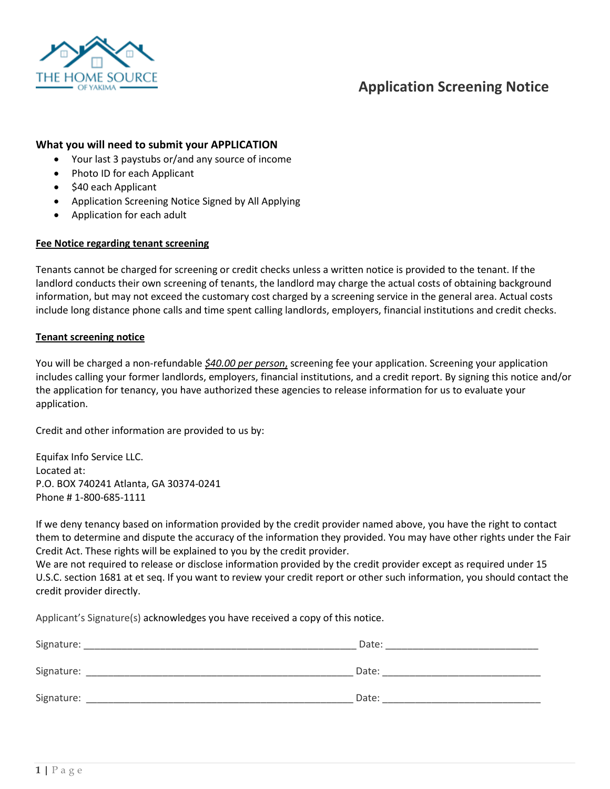

# **Application Screening Notice**

### **What you will need to submit your APPLICATION**

- Your last 3 paystubs or/and any source of income
- Photo ID for each Applicant
- \$40 each Applicant
- Application Screening Notice Signed by All Applying
- Application for each adult

#### **Fee Notice regarding tenant screening**

Tenants cannot be charged for screening or credit checks unless a written notice is provided to the tenant. If the landlord conducts their own screening of tenants, the landlord may charge the actual costs of obtaining background information, but may not exceed the customary cost charged by a screening service in the general area. Actual costs include long distance phone calls and time spent calling landlords, employers, financial institutions and credit checks.

#### **Tenant screening notice**

You will be charged a non-refundable *\$40.00 per person*, screening fee your application. Screening your application includes calling your former landlords, employers, financial institutions, and a credit report. By signing this notice and/or the application for tenancy, you have authorized these agencies to release information for us to evaluate your application.

Credit and other information are provided to us by:

Equifax Info Service LLC. Located at: P.O. BOX 740241 Atlanta, GA 30374-0241 Phone # 1-800-685-1111

If we deny tenancy based on information provided by the credit provider named above, you have the right to contact them to determine and dispute the accuracy of the information they provided. You may have other rights under the Fair Credit Act. These rights will be explained to you by the credit provider.

We are not required to release or disclose information provided by the credit provider except as required under 15 U.S.C. section 1681 at et seq. If you want to review your credit report or other such information, you should contact the credit provider directly.

Applicant's Signature(s) acknowledges you have received a copy of this notice.

| Signature: | Date: |
|------------|-------|
| Signature: | Date: |
| Signature: | Date: |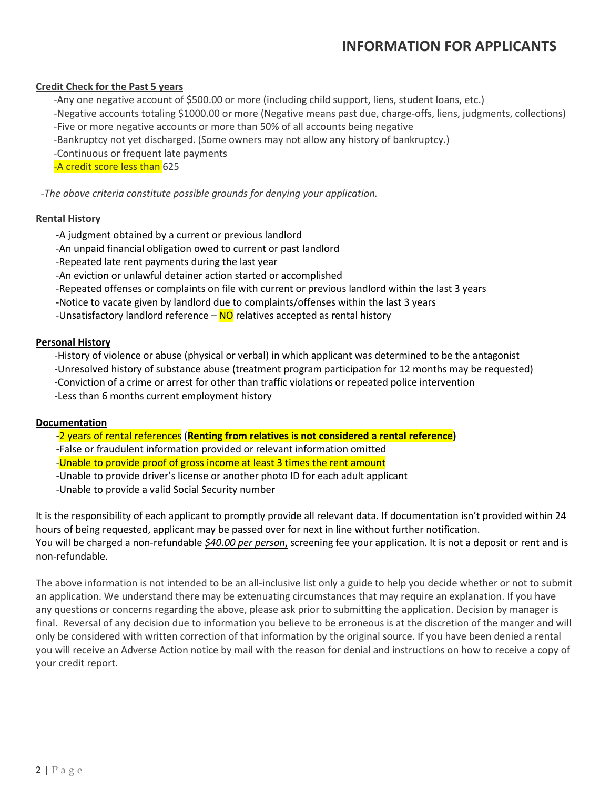## **INFORMATION FOR APPLICANTS**

### **Credit Check for the Past 5 years**

-Any one negative account of \$500.00 or more (including child support, liens, student loans, etc.)

-Negative accounts totaling \$1000.00 or more (Negative means past due, charge-offs, liens, judgments, collections) -Five or more negative accounts or more than 50% of all accounts being negative

-Bankruptcy not yet discharged. (Some owners may not allow any history of bankruptcy.)

-Continuous or frequent late payments

-A credit score less than 625

-*The above criteria constitute possible grounds for denying your application.*

### **Rental History**

-A judgment obtained by a current or previous landlord

-An unpaid financial obligation owed to current or past landlord

-Repeated late rent payments during the last year

-An eviction or unlawful detainer action started or accomplished

-Repeated offenses or complaints on file with current or previous landlord within the last 3 years

-Notice to vacate given by landlord due to complaints/offenses within the last 3 years

-Unsatisfactory landlord reference  $-\overline{NO}$  relatives accepted as rental history

### **Personal History**

-History of violence or abuse (physical or verbal) in which applicant was determined to be the antagonist

-Unresolved history of substance abuse (treatment program participation for 12 months may be requested)

- -Conviction of a crime or arrest for other than traffic violations or repeated police intervention
- -Less than 6 months current employment history

### **Documentation**

-2 years of rental references (**Renting from relatives is not considered a rental reference)**  -False or fraudulent information provided or relevant information omitted -Unable to provide proof of gross income at least 3 times the rent amount -Unable to provide driver's license or another photo ID for each adult applicant

-Unable to provide a valid Social Security number

It is the responsibility of each applicant to promptly provide all relevant data. If documentation isn't provided within 24 hours of being requested, applicant may be passed over for next in line without further notification. You will be charged a non-refundable *\$40.00 per person*, screening fee your application. It is not a deposit or rent and is non-refundable.

The above information is not intended to be an all-inclusive list only a guide to help you decide whether or not to submit an application. We understand there may be extenuating circumstances that may require an explanation. If you have any questions or concerns regarding the above, please ask prior to submitting the application. Decision by manager is final. Reversal of any decision due to information you believe to be erroneous is at the discretion of the manger and will only be considered with written correction of that information by the original source. If you have been denied a rental you will receive an Adverse Action notice by mail with the reason for denial and instructions on how to receive a copy of your credit report.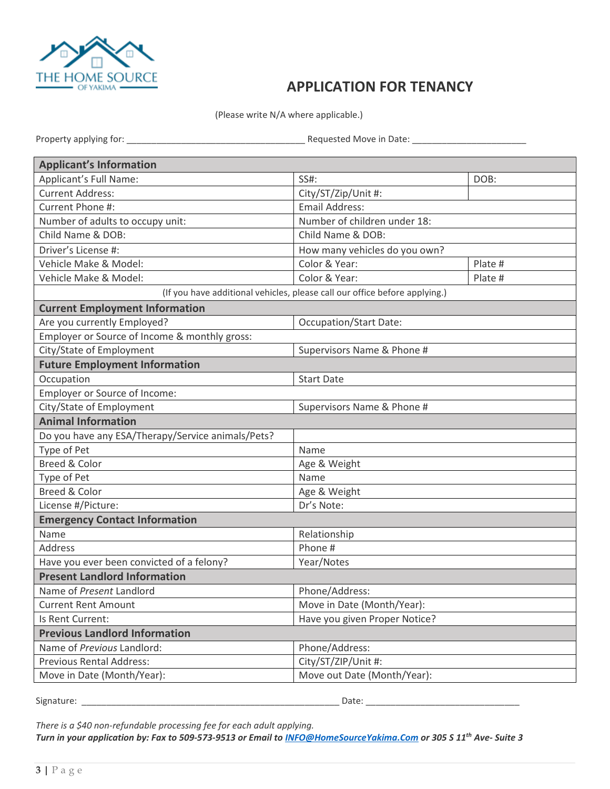

(Please write N/A where applicable.)

| Property applying for:<br>Requested Move in Date: |  |
|---------------------------------------------------|--|
|---------------------------------------------------|--|

| <b>Applicant's Information</b>                    |                                                                            |         |  |
|---------------------------------------------------|----------------------------------------------------------------------------|---------|--|
| Applicant's Full Name:                            | SS#:                                                                       | DOB:    |  |
| <b>Current Address:</b>                           | City/ST/Zip/Unit #:                                                        |         |  |
| Current Phone #:                                  | <b>Email Address:</b>                                                      |         |  |
| Number of adults to occupy unit:                  | Number of children under 18:                                               |         |  |
| Child Name & DOB:                                 | Child Name & DOB:                                                          |         |  |
| Driver's License #:                               | How many vehicles do you own?                                              |         |  |
| Vehicle Make & Model:                             | Color & Year:                                                              | Plate # |  |
| Vehicle Make & Model:                             | Color & Year:                                                              | Plate # |  |
|                                                   | (If you have additional vehicles, please call our office before applying.) |         |  |
| <b>Current Employment Information</b>             |                                                                            |         |  |
| Are you currently Employed?                       | <b>Occupation/Start Date:</b>                                              |         |  |
| Employer or Source of Income & monthly gross:     |                                                                            |         |  |
| City/State of Employment                          | Supervisors Name & Phone #                                                 |         |  |
| <b>Future Employment Information</b>              |                                                                            |         |  |
| Occupation                                        | <b>Start Date</b>                                                          |         |  |
| Employer or Source of Income:                     |                                                                            |         |  |
| City/State of Employment                          | Supervisors Name & Phone #                                                 |         |  |
| <b>Animal Information</b>                         |                                                                            |         |  |
| Do you have any ESA/Therapy/Service animals/Pets? |                                                                            |         |  |
| Type of Pet                                       | Name                                                                       |         |  |
| <b>Breed &amp; Color</b>                          | Age & Weight                                                               |         |  |
| Type of Pet                                       | Name                                                                       |         |  |
| <b>Breed &amp; Color</b>                          | Age & Weight                                                               |         |  |
| License #/Picture:                                | Dr's Note:                                                                 |         |  |
| <b>Emergency Contact Information</b>              |                                                                            |         |  |
| Name                                              | Relationship                                                               |         |  |
| Address                                           | Phone #                                                                    |         |  |
| Have you ever been convicted of a felony?         | Year/Notes                                                                 |         |  |
| <b>Present Landlord Information</b>               |                                                                            |         |  |
| Name of Present Landlord                          | Phone/Address:                                                             |         |  |
| <b>Current Rent Amount</b>                        | Move in Date (Month/Year):                                                 |         |  |
| Is Rent Current:                                  | Have you given Proper Notice?                                              |         |  |
| <b>Previous Landlord Information</b>              |                                                                            |         |  |
| Name of Previous Landlord:                        | Phone/Address:                                                             |         |  |
| Previous Rental Address:                          | City/ST/ZIP/Unit #:                                                        |         |  |
| Move in Date (Month/Year):                        | Move out Date (Month/Year):                                                |         |  |

Signature: \_\_\_\_\_\_\_\_\_\_\_\_\_\_\_\_\_\_\_\_\_\_\_\_\_\_\_\_\_\_\_\_\_\_\_\_\_\_\_\_\_\_\_\_\_\_\_\_\_\_\_\_ Date: \_\_\_\_\_\_\_\_\_\_\_\_\_\_\_\_\_\_\_\_\_\_\_\_\_\_\_\_\_\_\_

*There is a \$40 non-refundable processing fee for each adult applying.* 

*Turn in your application by: Fax to 509-573-9513 or Email t[o INFO@HomeSourceYakima.Com](mailto:INFO@HomeSourceYakima.Com) or 305 S 11th Ave- Suite 3*